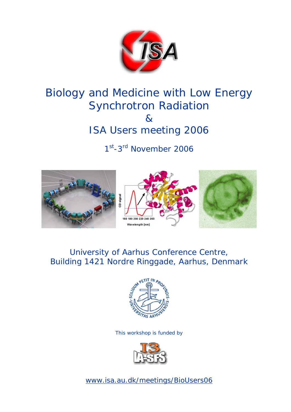

# Biology and Medicine with Low Energy Synchrotron Radiation & ISA Users meeting 2006

1st-3<sup>rd</sup> November 2006



# University of Aarhus Conference Centre, Building 1421 Nordre Ringgade, Aarhus, Denmark



This workshop is funded by



www.isa.au.dk/meetings/BioUsers06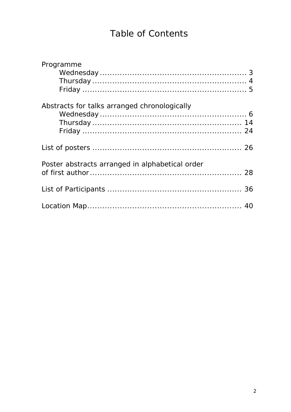# Table of Contents

| Programme                                       |  |
|-------------------------------------------------|--|
|                                                 |  |
|                                                 |  |
|                                                 |  |
| Abstracts for talks arranged chronologically    |  |
|                                                 |  |
|                                                 |  |
|                                                 |  |
|                                                 |  |
| Poster abstracts arranged in alphabetical order |  |
|                                                 |  |
|                                                 |  |
|                                                 |  |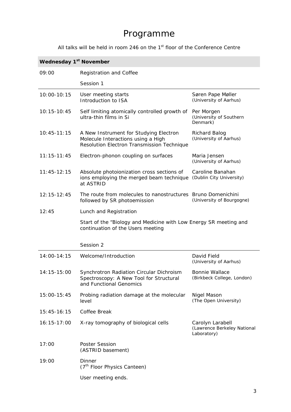# Programme

All talks will be held in room 246 on the  $1<sup>st</sup>$  floor of the Conference Centre

| <b>Wednesday 1st November</b> |  |  |
|-------------------------------|--|--|
|-------------------------------|--|--|

| 09:00           | <b>Registration and Coffee</b>                                                                                             |                                                                |
|-----------------|----------------------------------------------------------------------------------------------------------------------------|----------------------------------------------------------------|
|                 | Session 1                                                                                                                  |                                                                |
| 10:00-10:15     | User meeting starts<br>Introduction to ISA                                                                                 | Søren Pape Møller<br>(University of Aarhus)                    |
| $10:15 - 10:45$ | Self limiting atomically controlled growth of<br>ultra-thin films in Si                                                    | Per Morgen<br>(University of Southern<br>Denmark)              |
| $10:45 - 11:15$ | A New Instrument for Studying Electron<br>Molecule Interactions using a High<br>Resolution Electron Transmission Technique | <b>Richard Balog</b><br>(University of Aarhus)                 |
| $11:15 - 11:45$ | Electron-phonon coupling on surfaces                                                                                       | Maria Jensen<br>(University of Aarhus)                         |
| $11:45-12:15$   | Absolute photoionization cross sections of<br>ions employing the merged beam technique<br>at ASTRID                        | Caroline Banahan<br>(Dublin City University)                   |
| 12:15-12:45     | The route from molecules to nanostructures Bruno Domenichini<br>followed by SR photoemission                               | (University of Bourgogne)                                      |
| 12:45           | Lunch and Registration                                                                                                     |                                                                |
|                 | Start of the "Biology and Medicine with Low Energy SR meeting and<br>continuation of the Users meeting                     |                                                                |
|                 | Session 2                                                                                                                  |                                                                |
| 14:00-14:15     | Welcome/Introduction                                                                                                       | David Field<br>(University of Aarhus)                          |
| 14:15-15:00     | Synchrotron Radiation Circular Dichroism<br>Spectroscopy: A New Tool for Structural<br>and Functional Genomics             | <b>Bonnie Wallace</b><br>(Birkbeck College, London)            |
| $15:00 - 15:45$ | Probing radiation damage at the molecular<br>level                                                                         | Nigel Mason<br>(The Open University)                           |
| $15:45 - 16:15$ | Coffee Break                                                                                                               |                                                                |
| 16:15-17:00     | X-ray tomography of biological cells                                                                                       | Carolyn Larabell<br>(Lawrence Berkeley National<br>Laboratory) |
| 17:00           | <b>Poster Session</b><br>(ASTRID basement)                                                                                 |                                                                |
| 19:00           | <b>Dinner</b><br>(7 <sup>th</sup> Floor Physics Canteen)                                                                   |                                                                |
|                 | User meeting ends.                                                                                                         |                                                                |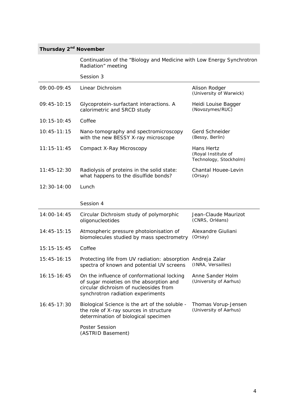# **Thursday 2nd November**

*Continuation of the "Biology and Medicine with Low Energy Synchrotron Radiation" meeting* 

|                 | Session 3                                                                                                                                                            |                                                             |  |  |
|-----------------|----------------------------------------------------------------------------------------------------------------------------------------------------------------------|-------------------------------------------------------------|--|--|
| 09:00-09:45     | Linear Dichroism                                                                                                                                                     | Alison Rodger<br>(University of Warwick)                    |  |  |
| $09:45-10:15$   | Glycoprotein-surfactant interactions. A<br>calorimetric and SRCD study                                                                                               | Heidi Louise Bagger<br>(Novozymes/RUC)                      |  |  |
| $10:15 - 10:45$ | Coffee                                                                                                                                                               |                                                             |  |  |
| $10:45 - 11:15$ | Nano-tomography and spectromicroscopy<br>with the new BESSY X-ray microscope                                                                                         | Gerd Schneider<br>(Bessy, Berlin)                           |  |  |
| $11:15 - 11:45$ | Compact X-Ray Microscopy                                                                                                                                             | Hans Hertz<br>(Royal Institute of<br>Technology, Stockholm) |  |  |
| $11:45-12:30$   | Radiolysis of proteins in the solid state:<br>what happens to the disulfide bonds?                                                                                   | Chantal Houee-Levin<br>(Orsay)                              |  |  |
| 12:30-14:00     | Lunch                                                                                                                                                                |                                                             |  |  |
|                 | Session 4                                                                                                                                                            |                                                             |  |  |
| 14:00-14:45     | Circular Dichroism study of polymorphic<br>oligonucleotides                                                                                                          | Jean-Claude Maurizot<br>(CNRS, Orléans)                     |  |  |
| 14:45-15:15     | Atmospheric pressure photoionisation of<br>biomolecules studied by mass spectrometry                                                                                 | Alexandre Giuliani<br>(Orsay)                               |  |  |
| $15:15 - 15:45$ | Coffee                                                                                                                                                               |                                                             |  |  |
| 15:45-16:15     | Protecting life from UV radiation: absorption<br>spectra of known and potential UV screens                                                                           | Andreja Zalar<br>(INRA, Versailles)                         |  |  |
| $16:15 - 16:45$ | On the influence of conformational locking<br>of sugar moieties on the absorption and<br>circular dichroism of nucleosides from<br>synchrotron radiation experiments | Anne Sander Holm<br>(University of Aarhus)                  |  |  |
| $16:45-17:30$   | Biological Science is the art of the soluble -<br>the role of X-ray sources in structure<br>determination of biological specimen                                     | Thomas Vorup-Jensen<br>(University of Aarhus)               |  |  |
|                 | Poster Session<br>(ASTRID Basement)                                                                                                                                  |                                                             |  |  |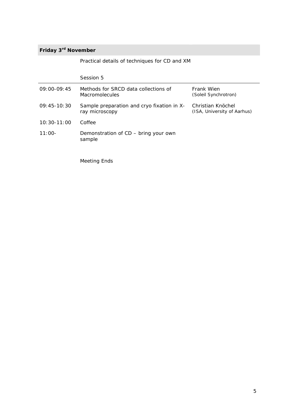## **Friday 3rd November**

|  |  |  | Practical details of techniques for CD and XM |  |  |  |  |
|--|--|--|-----------------------------------------------|--|--|--|--|
|--|--|--|-----------------------------------------------|--|--|--|--|

*Session 5* 09:00-09:45 Methods for SRCD data collections of Macromolecules Frank Wien *(Soleil Synchrotron)* 09:45-10:30 Sample preparation and cryo fixation in Xray microscopy Christian Knöchel *(ISA, University of Aarhus) 10:30-11:00 Coffee*  11:00- Demonstration of CD – bring your own sample Meeting Ends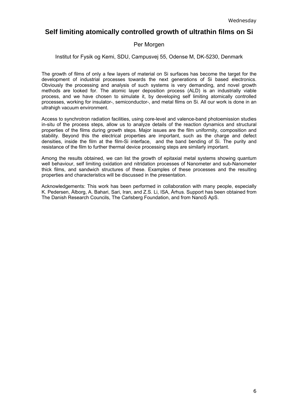# **Self limiting atomically controlled growth of ultrathin films on Si**

### Per Morgen

### Institut for Fysik og Kemi, SDU, Campusvej 55, Odense M, DK-5230, Denmark

The growth of films of only a few layers of material on Si surfaces has become the target for the development of industrial processes towards the next generations of Si based electronics. Obviously the processing and analysis of such systems is very demanding, and novel growth methods are looked for. The atomic layer deposition process (ALD) is an industrially viable process, and we have chosen to simulate it, by developing self limiting atomically controlled processes, working for insulator-, semiconductor-, and metal films on Si. All our work is done in an ultrahigh vacuum environment.

Access to synchrotron radiation facilities, using core-level and valence-band photoemission studies in-situ of the process steps, allow us to analyze details of the reaction dynamics and structural properties of the films during growth steps. Major issues are the film uniformity, composition and stability. Beyond this the electrical properties are important, such as the charge and defect densities, inside the film at the film-Si interface, and the band bending of Si. The purity and resistance of the film to further thermal device processing steps are similarly important.

Among the results obtained, we can list the growth of epitaxial metal systems showing quantum well behaviour, self limiting oxidation and nitridation processes of Nanometer and sub-Nanometer thick films, and sandwich structures of these. Examples of these processes and the resulting properties and characteristics will be discussed in the presentation.

Acknowledgements: This work has been performed in collaboration with many people, especially K. Pedersen, Ålborg, A. Bahari, Sari, Iran, and Z.S. Li, ISA, Århus. Support has been obtained from The Danish Research Councils, The Carlsberg Foundation, and from NanoS ApS.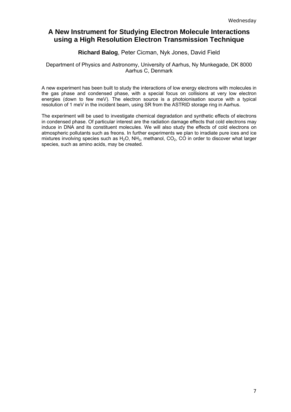# **A New Instrument for Studying Electron Molecule Interactions using a High Resolution Electron Transmission Technique**

### **Richard Balog**, Peter Cicman, Nyk Jones, David Field

### Department of Physics and Astronomy, University of Aarhus, Ny Munkegade, DK 8000 Aarhus C, Denmark

A new experiment has been built to study the interactions of low energy electrons with molecules in the gas phase and condensed phase, with a special focus on collisions at very low electron energies (down to few meV). The electron source is a photoionisation source with a typical resolution of 1 meV in the incident beam, using SR from the ASTRID storage ring in Aarhus.

The experiment will be used to investigate chemical degradation and synthetic effects of electrons in condensed phase. Of particular interest are the radiation damage effects that cold electrons may induce in DNA and its constituent molecules. We will also study the effects of cold electrons on atmospheric pollutants such as freons. In further experiments we plan to irradiate pure ices and ice mixtures involving species such as  $H_2O$ ,  $NH_3$ , methanol,  $CO_2$ , CO in order to discover what larger species, such as amino acids, may be created.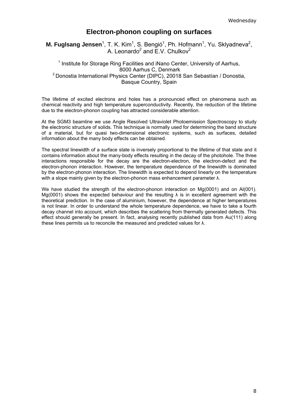## **Electron-phonon coupling on surfaces**

**M. Fuglsang Jensen**<sup>1</sup>, T. K. Kim<sup>1</sup>, S. Bengió<sup>1</sup>, Ph. Hofmann<sup>1</sup>, Yu. Sklyadneva<sup>2</sup>, A. Leonardo<sup>2</sup> and  $\overline{E}$ .V. Chulkov<sup>2</sup>

### <sup>1</sup> Institute for Storage Ring Facilities and iNano Center, University of Aarhus, 8000 Aarhus C, Denmark 2 Donostia International Physics Center (DIPC), 20018 San Sebastían / Donostia, Basque Country, Spain

The lifetime of excited electrons and holes has a pronounced effect on phenomena such as chemical reactivity and high temperature superconductivity. Recently, the reduction of the lifetime due to the electron-phonon coupling has attracted considerable attention.

At the SGM3 beamline we use Angle Resolved Ultraviolet Photoemission Spectroscopy to study the electronic structure of solids. This technique is normally used for determining the band structure of a material, but for quasi two-dimensional electronic systems, such as surfaces, detailed information about the many body effects can be obtained.

The spectral linewidth of a surface state is inversely proportional to the lifetime of that state and it contains information about the many-body effects resulting in the decay of the photohole. The three interactions responsible for the decay are the electron-electron, the electron-defect and the electron-phonon interaction. However, the temperature dependence of the linewidth is dominated by the electron-phonon interaction. The linewidth is expected to depend linearly on the temperature with a slope mainly given by the electron-phonon mass enhancement parameter λ.

We have studied the strength of the electron-phonon interaction on Mg(0001) and on Al(001). Mg(0001) shows the expected behaviour and the resulting  $\lambda$  is in excellent agreement with the theoretical prediction. In the case of aluminium, however, the dependence at higher temperatures is not linear. In order to understand the whole temperature dependence, we have to take a fourth decay channel into account, which describes the scattering from thermally generated defects. This effect should generally be present. In fact, analysing recently published data from Au(111) along these lines permits us to reconcile the measured and predicted values for λ.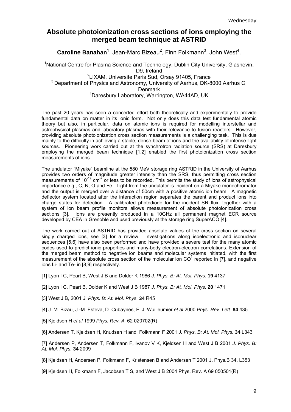# **Absolute photoionization cross sections of ions employing the merged beam technique at ASTRID**

Caroline Banahan<sup>1</sup>, Jean-Marc Bizeau<sup>2</sup>, Finn Folkmann<sup>3</sup>, John West<sup>4</sup>.

<sup>1</sup>National Centre for Plasma Science and Technology, Dublin City University, Glasnevin, D9, Ireland <sup>2</sup>LIXAM, Universite Paris Sud, Orsay 91405, France  $3$  Department of Physics and Astronomy, University of Aarhus, DK-8000 Aarhus C, Denmark 4 Daresbury Laboratory, Warrington, WA44AD, UK

The past 20 years has seen a concerted effort both theoretically and experimentally to provide fundamental data on matter in its ionic form. Not only does this data test fundamental atomic theory but also, in particular, data on atomic ions is required for modelling interstellar and astrophysical plasmas and laboratory plasmas with their relevance to fusion reactors. However, providing absolute photoionization cross section measurements is a challenging task. This is due mainly to the difficulty in achieving a stable, dense beam of ions and the availability of intense light sources. Pioneering work carried out at the synchrotron radiation source (SRS) at Daresbury employing the merged beam technique [1,2] enabled the first photoionization cross section measurements of ions.

The undulator "Miyake" beamline at the 580 MeV storage ring ASTRID in the University of Aarhus provides two orders of magnitude greater intensity than the SRS, thus permitting cross section measurements of  $10^{-19}$  cm<sup>-2</sup> or less to be recorded. This permits the study of ions of astrophysical importance e.g., C, N, O and Fe. Light from the undulator is incident on a Miyake monochromator and the output is merged over a distance of 50cm with a positive atomic ion beam. A magnetic deflector system located after the interaction region separates the parent and product ions into charge states for detection. A calibrated photodiode for the incident SR flux, together with a system of ion beam profile monitors allows measurement of absolute photoionization cross sections [3]. Ions are presently produced in a 10GHz all permanent magnet ECR source developed by CEA in Grenoble and used previously at the storage ring SuperACO [4].

The work carried out at ASTRID has provided absolute values of the cross section on several singly charged ions, see [3] for a review. Investigations along isoelectronic and isonuclear sequences [5,6] have also been performed and have provided a severe test for the many atomic codes used to predict ionic properties and many-body electron-electron correlations. Extension of the merged beam method to negative ion beams and molecular systems initiated, with the first measurement of the absolute cross section of the molecular ion  $CO<sup>2</sup>$  reported in [7], and negative ions Li- and Te- in [8,9] respectively.

- [1] Lyon I C, Peart B, West J B and Dolder K 1986 *J. Phys. B: At. Mol. Phys.* **19** 4137
- [2] Lyon I C, Peart B, Dolder K and West J B 1987 *J. Phys. B: At. Mol. Phys.* **20** 1471
- [3] West J B, 2001 *J. Phys. B: At. Mol. Phys.* **34** R45
- [4] J. M. Bizau, J.-M. Esteva, D. Cubaynes, F. J. Wuilleumier *et al* 2000 *Phys. Rev. Lett.* **84** 435
- [5] Kjeldsen H *et al* 1999 *Phys. Rev. A* 62 020702(R)

[6] Andersen T, Kjeldsen H, Knudsen H and Folkmann F 2001 *J. Phys. B: At. Mol. Phys.* **34** L343

[7] Andersen P, Andersen T, Folkmann F, Ivanov V K, Kjeldsen H and West J B 2001 *J. Phys. B: At. Mol. Phys.* **34** 2009

[8] Kjeldsen H, Andersen P, Folkmann F, Kristensen B and Andersen T 2001 J. Phys.B 34, L353

[9] Kjeldsen H, Folkmann F, Jacobsen T S, and West J B 2004 Phys. Rev. A 69 050501(R)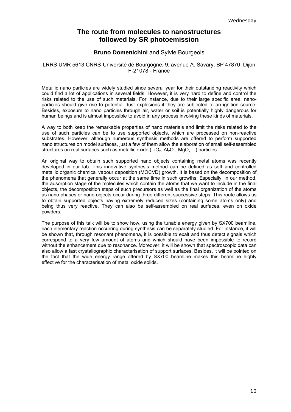# **The route from molecules to nanostructures followed by SR photoemission**

### **Bruno Domenichini** and Sylvie Bourgeois

### LRRS UMR 5613 CNRS-Université de Bourgogne, 9, avenue A. Savary, BP 47870 Dijon F-21078 - France

Metallic nano particles are widely studied since several year for their outstanding reactivity which could find a lot of applications in several fields. However, it is very hard to define and control the risks related to the use of such materials. For instance, due to their large specific area, nanoparticles should give rise to potential dust explosions if they are subjected to an ignition source. Besides, exposure to nano particles through air, water or soil is potentially highly dangerous for human beings and is almost impossible to avoid in any process involving these kinds of materials.

A way to both keep the remarkable properties of nano materials and limit the risks related to the use of such particles can be to use supported objects, which are processed on non-reactive substrates. However, although numerous synthesis methods are offered to perform supported nano structures on model surfaces, just a few of them allow the elaboration of small self-assembled structures on real surfaces such as metallic oxide (TiO<sub>2</sub>, Al<sub>2</sub>O<sub>3</sub>, MgO, ...) particles.

An original way to obtain such supported nano objects containing metal atoms was recently developed in our lab. This innovative synthesis method can be defined as soft and controlled metallic organic chemical vapour deposition (MOCVD) growth. It is based on the decomposition of the phenomena that generally occur at the same time in such growths; Especially, in our method, the adsorption stage of the molecules which contain the atoms that we want to include in the final objects, the decomposition steps of such precursors as well as the final organization of the atoms as nano phases or nano objects occur during three different successive steps. This route allows us to obtain supported objects having extremely reduced sizes (containing some atoms only) and being thus very reactive. They can also be self-assembled on real surfaces, even on oxide powders.

The purpose of this talk will be to show how, using the tunable energy given by SX700 beamline, each elementary reaction occurring during synthesis can be separately studied. For instance, it will be shown that, through resonant phenomena, it is possible to exalt and thus detect signals which correspond to a very few amount of atoms and which should have been impossible to record without the enhancement due to resonance. Moreover, it will be shown that spectroscopic data can also allow a fast crystallographic characterisation of support surfaces. Besides, it will be pointed on the fact that the wide energy range offered by SX700 beamline makes this beamline highly effective for the characterisation of metal oxide solids.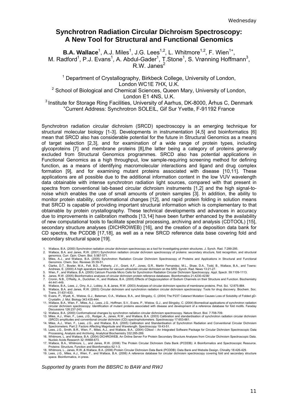# **Synchrotron Radiation Circular Dichroism Spectroscopy: A New Tool for Structural and Functional Genomics**

**B.A. Wallace**<sup>1</sup>, A.J. Miles<sup>1</sup>, J.G. Lees<sup>1,2</sup>, L. Whitmore<sup>1,2</sup>, F. Wien<sup>1+</sup>, M. Radford<sup>1</sup>, P.J. Evans<sup>1</sup>, A. Abdul-Gader<sup>1</sup>, T.Stone<sup>1</sup>, S. Vrønning Hoffmann<sup>3</sup>,  $R.W.$  Janes<sup>2</sup>

<sup>1</sup> Department of Crystallography, Birkbeck College, University of London, London WC1E 7HX, U.K.

<sup>2</sup> School of Biological and Chemical Sciences, Queen Mary, University of London, London E1 4NS, U.K.

<sup>3</sup> Institute for Storage Ring Facilities, University of Aarhus, DK-8000, Århus C, Denmark Current Address: Synchrotron SOLEIL, Gif Sur Yvette, F-91192 France

Synchrotron radiation circular dichroism (SRCD) spectroscopy is an emerging technique for structural molecular biology [1-3]. Developments in instrumentation [4,5] and bioinformatics [6] mean that SRCD also has considerable potential for the future in Structural Genomics as a means of target selection [2,3], and for examination of a wide range of protein types, including glycoproteins [7] and membrane proteins [8],the latter being a category of proteins generally excluded from Structural Genomics programmes. SRCD also has potential applications in Functional Genomics as a high throughput, low sample-requiring screening method for defining function, as a means of identifying macromolecular interactions and ligand and drug complex formation [9], and for examining mutant proteins associated with disease [10,11]. These applications are all possible due to the additional information content in the low VUV wavelength data obtainable with intense synchrotron radiation light sources, compared with that present in spectra from conventional lab-based circular dichroism instruments [1,2] and the high signal-tonoise which enables the use of small amounts of protein samples [3]. In addition, the ability to monitor protein stability, conformational changes [12], and rapid protein folding in solution means that SRCD is capable of providing important structural information which is complementary to that obtainable by protein crystallography. These technical developments and advances in accuracy due to improvements in calibration methods [13,14] have been further enhanced by the availability of new computational tools to facilitate spectral processing, archiving and analysis (CDTOOL) [15], secondary structure analyses (DICHROWEB) [16], and the creation of a deposition data bank for CD spectra, the PCDDB [17,18], as well as a new SRCD reference data base covering fold and secondary structural space [19].

- 1. Wallace, B.A. (2000) Synchrotron radiation circular dichroism spectroscopy as a tool for investigating protein structures. J. Synch. Rad. 7:289-295.
- 2. Wallace, B.A. and Janes, R.W. (2001) Synchrotron radiation circular dichroism spectroscopy of proteins: secondary structure, fold recognition, and structural genomics. Curr. Opin. Chem. Biol. 5:567-571.

3. Miles, A.J., and Wallace, B.A. (2005) Synchrotron Radiation Circular Dichroism Spectroscopy of Proteins and Applications in Structural and Functional<br>Genomics. Chem. Soc. Reviews 35:39-51.<br>4. Clarke, D.T., Bowler, M.A.,

- Andrews, E. (2000) A high aperature beamline for vacuum ultraviolet circular dichroism on the SRS. Synch. Rad. News 13:21-27.
- 
- 
- 5. Wien, F., and Wallace, B.A. (2005) Calcium Fluoride Micro Cells for Synchrotron Radiation Circular Dichroism Spectroscopy. Appl. Spectr. 59:1109-1113.<br>6. Janes, R.W. (2005) Bioinformatics analyses of circular dichro 44:441-449.
- 8. Wallace, B.A., Lees, J., Orry, A.J., Lobley, A. & Janes, R.W. (2003) Analyses of circular dichroism spectra of membrane proteins. Prot. Sci. 12:875-884.
- 9. Wallace, B.A. and Janes, R.W. (2003) Circular dichroism and synchrotron radiation circular dichroism spectroscopy: Tools for drug discovery. Biochem. Soc. Trans. 31:631-633.

10. Evans, P., Wyatt, K., Wistow, G.J., Bateman, O.A., Wallace, B.A., and Slingsby, C. (2004) The P23T Cataract Mutation Causes Loss of Solubility of Folded gD-<br>Crystallin. J. Mol. Biology 343:435-444.<br>11. Wallace, B.A., W

circular dichroism spectroscopy: Identification of mutant proteins associated with disease and development of a reference database for fold motifs. Faraday Discussions 126:237-243.

12. Wallace, B.A. (2000) Conformational changes by synchrotron radiation circular dichroism spectroscopy. Nature Struct. Biol. 7:708-709.<br>13. Miles, A.J., Wien, F., Lees, J.G., Rodger, A., Janes, R.W., and Wallace, B.A. (2 14. Miles, A.J., Wien, F., Lees, J.G., and Wallace, B.A. (2005) Calibration and Standardisation of Synchrotron Radiation and Conventional Circular Dichroism

Spectrometers. Part 2: Factors Affecting Magnitude and Wavelength. Spectroscopy 19:43-51.<br>15. Lees, J.G., Smith, B.R., Wien, F., Miles, A.J., and Wallace, B.A.. (2004) CDtool – An Integrated Software Package for Circular D

Processing, Analysis and Archiving. Analytical Biochemistry 332:285-289.<br>- 16. Whitmore, L. and Wallace, B.A. (2004) DICHROWEB, An Online Server For Protein Secondary Structure Analyses from Circular Dichroism Spectroscopi

Nucleic Acids Research 32::W668-673. 17. Wallace, B.A., Whitmore, L., and Janes, R.W. (2006) The Protein Circular Dichroism Data Bank (PCDDB): A Bioinformatics and Spectroscopic Resource. Proteins: Structure, Function and Bioinformatics 62:1-3.

18. Whitmore, L., Janes, R.W.,& Wallace, B.A. (2006) Protein Circular Dichroism Data Bank (PCDDB): Data Bank and Website Design. Chirality 18:426-429.<br>19. Lees, J.G., Miles, A.J., Wien, F., and Wallace, B.A. (2006) A refer

space. Bioinformatics, in press.

*Supported by grants from the BBSRC to BAW and RWJ*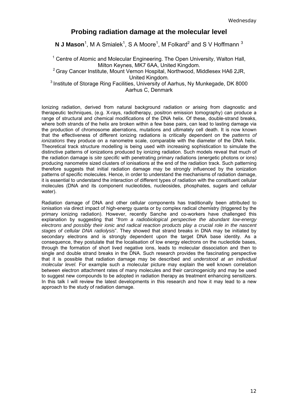## **Probing radiation damage at the molecular level**

**N J Mason**<sup>1</sup>, M A Smialek<sup>1</sup>, S A Moore<sup>1</sup>, M Folkard<sup>2</sup> and S V Hoffmann<sup>3</sup>

<sup>1</sup> Centre of Atomic and Molecular Engineering. The Open University, Walton Hall, Milton Keynes, MK7 6AA, United Kingdom.

 $2$  Grav Cancer Institute, Mount Vernon Hospital, Northwood, Middlesex HA6 2JR, United Kingdom*.* 3 Institute of Storage Ring Facilities, University of Aarhus, Ny Munkegade, DK 8000

Aarhus C, Denmark

Ionizing radiation, derived from natural background radiation or arising from diagnostic and therapeutic techniques, (e.g. X-rays, radiotherapy, positron emission tomography) can produce a range of structural and chemical modifications of the DNA helix. Of these, double-strand breaks, where both strands of the helix are broken within a few base pairs, can lead to lasting damage via the production of chromosome aberrations, mutations and ultimately cell death. It is now known that the effectiveness of different ionizing radiations is critically dependent on the *patterns of ionizations* they produce on a nanometre scale, comparable with the diameter of the DNA helix. Theoretical track structure modelling is being used with increasing sophistication to simulate the distinctive patterns of ionizations produced by ionizing radiation. Such models reveal that much of the radiation damage is *site specific* with penetrating primary radiations (energetic photons or ions) producing nanometre sized clusters of ionisations at the end of the radiation track. Such patterning therefore suggests that initial radiation damage may be strongly influenced by the ionization patterns of specific molecules. Hence, in order to understand the mechanisms of radiation damage, it is essential to understand the interaction of different types of radiation with the constituent cellular molecules (DNA and its component nucleotides, nucleosides, phosphates, sugars and cellular water).

Radiation damage of DNA and other cellular components has traditionally been attributed to ionisation via direct impact of high-energy quanta or by complex radical chemistry (triggered by the primary ionizing radiation). However, recently Sanche and co-workers have challenged this explanation by suggesting that "*from a radiobiological perspective the abundant low-energy electrons and possibly their ionic and radical reaction products play a crucial role in the nascent stages of cellular DNA radiolysis*". They showed that strand breaks in DNA may be initiated by secondary electrons and is strongly dependent upon the target DNA base identity. As a consequence, they postulate that the localisation of low energy electrons on the nucleotide bases, through the formation of short lived negative ions, leads to molecular dissociation and then to single and double strand breaks in the DNA. Such research provides the fascinating perspective that it is possible that radiation damage may be described and *understood at an individual molecular level.* For example such a molecular picture may explain the well known correlation between electron attachment rates of many molecules and their carcinogenicity and may be used to suggest new compounds to be adopted in radiation therapy as treatment enhancing sensitizers. In this talk I will review the latest developments in this research and how it may lead to a new approach to the study of radiation damage.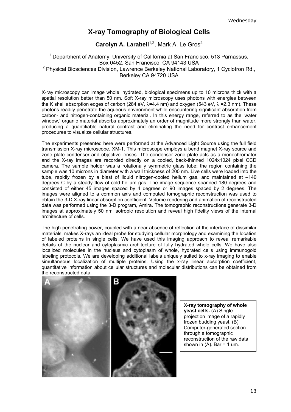# **X-ray Tomography of Biological Cells**

**Carolyn A. Larabell**<sup>1,2</sup>, Mark A. Le Gros<sup>2</sup>

<sup>1</sup> Department of Anatomy, University of California at San Francisco, 513 Parnassus, Box 0452, San Francisco, CA 94143 USA <sup>2</sup> Physical Biosciences Division, Lawrence Berkeley National Laboratory, 1 Cyclotron Rd., Berkeley CA 94720 USA

X-ray microscopy can image whole, hydrated, biological specimens up to 10 microns thick with a spatial resolution better than 50 nm. Soft X-ray microscopy uses photons with energies between the K shell absorption edges of carbon (284 eV,  $\lambda$ =4.4 nm) and oxygen (543 eV,  $\lambda$  =2.3 nm). These photons readily penetrate the aqueous environment while encountering significant absorption from carbon- and nitrogen-containing organic material. In this energy range, referred to as the 'water window,' organic material absorbs approximately an order of magnitude more strongly than water, producing a quantifiable natural contrast and eliminating the need for contrast enhancement procedures to visualize cellular structures.

The experiments presented here were performed at the Advanced Light Source using the full field transmission X-ray microscope, XM-1. This microscope employs a bend magnet X-ray source and zone plate condenser and objective lenses. The condenser zone plate acts as a monochromator and the X-ray images are recorded directly on a cooled, back-thinned 1024x1024 pixel CCD camera. The sample holder was a rotationally symmetric glass tube; the region containing the sample was 10 microns in diameter with a wall thickness of 200 nm. Live cells were loaded into the tube, rapidly frozen by a blast of liquid nitrogen-cooled helium gas, and maintained at –140 degrees C by a steady flow of cold helium gas. The image sequence spanned 180 degrees and consisted of either 45 images spaced by 4 degrees or 90 images spaced by 2 degrees. The images were aligned to a common axis and computed tomographic reconstruction was used to obtain the 3-D X-ray linear absorption coefficient. Volume rendering and animation of reconstructed data was performed using the 3-D program, Amira. The tomographic reconstructions generate 3-D images at approximately 50 nm isotropic resolution and reveal high fidelity views of the internal architecture of cells.

The high penetrating power, coupled with a near absence of reflection at the interface of dissimilar materials, makes X-rays an ideal probe for studying cellular morphology and examining the location of labeled proteins in single cells. We have used this imaging approach to reveal remarkable details of the nuclear and cytoplasmic architecture of fully hydrated whole cells. We have also localized molecules in the nucleus and cytoplasm of whole, hydrated cells using immunogold labeling protocols. We are developing additional labels uniquely suited to x-ray imaging to enable simultaneous localization of multiple proteins. Using the x-ray linear absorption coefficient, quantitative information about cellular structures and molecular distributions can be obtained from the reconstructed data.



**X-ray tomography of whole yeast cells.** (A) Single projection image of a rapidly frozen budding yeast. (B) Computer-generated section through a tomographic reconstruction of the raw data shown in  $(A)$ . Bar = 1 um.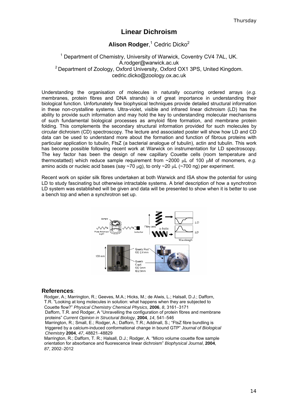## **Linear Dichroism**

### **Alison Rodger**, <sup>1</sup> Cedric Dicko2

### <sup>1</sup> Department of Chemistry, University of Warwick, Coventry CV4 7AL, UK. A.rodger@warwick.ac.uk <sup>2</sup> Department of Zoology, Oxford University, Oxford OX1 3PS, United Kingdom. cedric.dicko@zoology.ox.ac.uk

Understanding the organisation of molecules in naturally occurring ordered arrays (*e.g.* membranes, protein fibres and DNA strands) is of great importance in understanding their biological function. Unfortunately few biophysical techniques provide detailed structural information in these non-crystalline systems. Ultra-violet, visible and infrared linear dichroism (LD) has the ability to provide such information and may hold the key to understanding molecular mechanisms of such fundamental biological processes as amyloid fibre formation, and membrane protein folding. This complements the secondary structural information provided for such molecules by circular dichroism (CD) spectroscopy. The lecture and associated poster will show how LD and CD data can be used to understand more about the formation and function of fibrous proteins with particular application to tubulin, FtsZ (a bacterial analogue of tubulin), actin and tubulin. This work has become possible following recent work at Warwick on instrumentation for LD spectroscopy. The key factor has been the design of new capillary Couette cells (room temperature and thermostatted) which reduce sample requirement from ~2000 µL of 100 µM of monomers, *e.g.* amino acids or nucleic acid bases (say  $\sim$ 70  $\mu$ g), to only  $\sim$ 20  $\mu$ L ( $\sim$ 700 ng) per experiment.

Recent work on spider silk fibres undertaken at both Warwick and ISA show the potential for using LD to study fascinating but otherwise intractable systems. A brief description of how a synchrotron LD system was established will be given and data will be presented to show when it is better to use a bench top and when a synchrotron set up.



#### **References**:

Rodger, A.; Marrington, R.; Geeves, M.A.; Hicks, M.; de Alwis, L.; Halsall, D.J.; Dafforn, T.R. "Looking at long molecules in solution: what happens when they are subjected to Couette flow?" *Physical Chemistry Chemical Physics*, **2006**, *8*, 3161−3171 Dafforn, T.R. and Rodger, A "Unravelling the configuration of protein fibres and membrane proteins" *Current Opinion in Structural Biology*, **2004**, *14*, 541−546 Marrington, R.; Small, E.; Rodger, A.; Dafforn, T.R.; Addinall, S.; "FtsZ fibre bundling is triggered by a calcium-induced conformational change in bound GTP" *Journal of Biological* 

*Chemistry* **2004**, *47*, 48821−48829 Marrington, R.; Dafforn, T. R.; Halsall, D.J.; Rodger, A. "Micro volume couette flow sample orientation for absorbance and fluorescence linear dichroism" *Biophysical Journal*, **2004**, *87*, 2002−2012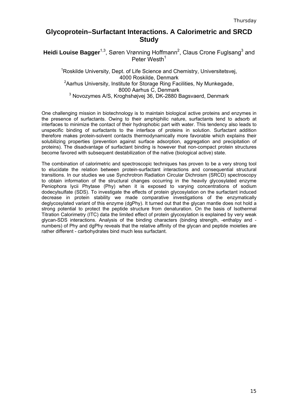# **Glycoprotein–Surfactant Interactions. A Calorimetric and SRCD Study**

Heidi Louise Bagger<sup>1,3</sup>, Søren Vrønning Hoffmann<sup>2</sup>, Claus Crone Fuglsang<sup>3</sup> and Peter Westh<sup>1</sup>

<sup>1</sup>Roskilde University, Dept. of Life Science and Chemistry, Universitetsvej, 4000 Roskilde, Denmark <sup>2</sup>Aarhus University, Institute for Storage Ring Facilities, Ny Munkegade, 8000 Aarhus C, Denmark <sup>3</sup> Novozymes A/S, Kroghshøjvej 36, DK-2880 Bagsvaerd, Denmark

One challenging mission in biotechnology is to maintain biological active proteins and enzymes in the presence of surfactants. Owing to their amphiphilic nature, surfactants tend to adsorb at interfaces to minimize the contact of their hydrophobic part with water. This tendency also leads to unspecific binding of surfactants to the interface of proteins in solution. Surfactant addition therefore makes protein-solvent contacts thermodynamically more favorable which explains their solubilizing properties (prevention against surface adsorption, aggregation and precipitation of proteins). The disadvantage of surfactant binding is however that non-compact protein structures become favored with subsequent destabilization of the native (biological active) state.

The combination of calorimetric and spectroscopic techniques has proven to be a very strong tool to elucidate the relation between protein-surfactant interactions and consequential structural transitions. In our studies we use Synchrotron Radiation Circular Dichroism (SRCD) spectroscopy to obtain information of the structural changes occurring in the heavily glycosylated enzyme Peniophora lycii Phytase (Phy) when it is exposed to varying concentrations of sodium dodecylsulfate (SDS). To investigate the effects of protein glycosylation on the surfactant induced decrease in protein stability we made comparative investigations of the enzymatically deglycosylated variant of this enzyme (dgPhy). It turned out that the glycan mantle does not hold a strong potential to protect the peptide structure from denaturation. On the basis of Isothermal Titration Calorimetry (ITC) data the limited effect of protein glycosylation is explained by very weak glycan-SDS interactions. Analysis of the binding characters (binding strength, -enthalpy and numbers) of Phy and dgPhy reveals that the relative affinity of the glycan and peptide moieties are rather different - carbohydrates bind much less surfactant.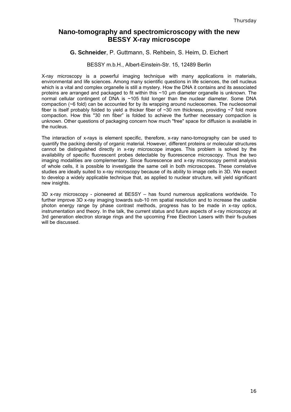# **Nano-tomography and spectromicroscopy with the new BESSY X-ray microscope**

### **G. Schneider**, P. Guttmann, S. Rehbein, S. Heim, D. Eichert

### BESSY m.b.H., Albert-Einstein-Str. 15, 12489 Berlin

X-ray microscopy is a powerful imaging technique with many applications in materials, environmental and life sciences. Among many scientific questions in life sciences, the cell nucleus which is a vital and complex organelle is still a mystery. How the DNA it contains and its associated proteins are arranged and packaged to fit within this ~10 µm diameter organelle is unknown. The normal cellular contingent of DNA is ~105 fold longer than the nuclear diameter. Some DNA compaction (~6 fold) can be accounted for by its wrapping around nucleosomes. The nucleosomal fiber is itself probably folded to yield a thicker fiber of  $\sim$ 30 nm thickness, providing  $\sim$ 7 fold more compaction. How this "30 nm fiber" is folded to achieve the further necessary compaction is unknown. Other questions of packaging concern how much "free" space for diffusion is available in the nucleus.

The interaction of x-rays is element specific, therefore, x-ray nano-tomography can be used to quantify the packing density of organic material. However, different proteins or molecular structures cannot be distinguished directly in x-ray microscope images. This problem is solved by the availability of specific fluorescent probes detectable by fluorescence microscopy. Thus the two imaging modalities are complementary. Since fluorescence and x-ray microscopy permit analysis of whole cells, it is possible to investigate the same cell in both microscopes. These correlative studies are ideally suited to x-ray microscopy because of its ability to image cells in 3D. We expect to develop a widely applicable technique that, as applied to nuclear structure, will yield significant new insights.

3D x-ray microscopy - pioneered at BESSY – has found numerous applications worldwide. To further improve 3D x-ray imaging towards sub-10 nm spatial resolution and to increase the usable photon energy range by phase contrast methods, progress has to be made in x-ray optics, instrumentation and theory. In the talk, the current status and future aspects of x-ray microscopy at 3rd generation electron storage rings and the upcoming Free Electron Lasers with their fs-pulses will be discussed.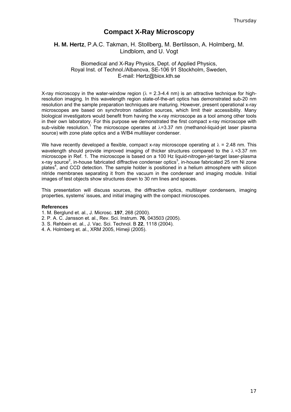# **Compact X-Ray Microscopy**

### **H. M. Hertz**, P.A.C. Takman, H. Stollberg, M. Bertilsson, A. Holmberg, M. Lindblom, and U. Vogt

### Biomedical and X-Ray Physics, Dept. of Applied Physics, Royal Inst. of Technol./Albanova, SE-106 91 Stockholm, Sweden, E-mail: Hertz@biox.kth.se

X-ray microscopy in the water-window region ( $\lambda$  = 2.3-4.4 nm) is an attractive technique for highresolution imaging. In this wavelength region state-of-the-art optics has demonstrated sub-20 nm resolution and the sample preparation techniques are maturing. However, present operational x-ray microscopes are based on synchrotron radiation sources, which limit their accessibility. Many biological investigators would benefit from having the x-ray microscope as a tool among other tools in their own laboratory. For this purpose we demonstrated the first compact x-ray microscope with sub-visible resolution.<sup>1</sup> The microscope operates at  $\lambda$ =3.37 nm (methanol-liquid-jet laser plasma source) with zone plate optics and a W/B4 multilayer condenser.

We have recently developed a flexible, compact x-ray microscope operating at  $\lambda$  = 2.48 nm. This wavelength should provide improved imaging of thicker structures compared to the  $\lambda$ =3.37 nm microscope in Ref. 1. The microscope is based on a 100 Hz liquid-nitrogen-jet-target laser-plasma x-ray source<sup>2</sup>, in-house fabricated diffractive condenser optics<sup>3</sup>, in-house fabricated 25 nm Ni zone plates<sup>4</sup>, and CCD detection. The sample holder is positioned in a helium atmosphere with silicon nitride membranes separating it from the vacuum in the condenser and imaging module. Initial images of test objects show structures down to 30 nm lines and spaces.

This presentation will discuss sources, the diffractive optics, multilayer condensers, imaging properties, systems' issues, and initial imaging with the compact microscopes.

#### **References**

- 1. M. Berglund et. al., J. Microsc. **197**, 268 (2000).
- 2. P. A. C. Jansson et. al., Rev. Sci. Instrum. **76**, 043503 (2005).
- 3. S. Rehbein et. al., J. Vac. Sci. Technol. B **22**, 1118 (2004).
- 4. A. Holmberg et. al., XRM 2005, Himeji (2005).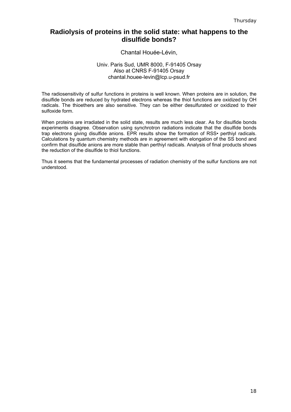# **Radiolysis of proteins in the solid state: what happens to the disulfide bonds?**

### Chantal Houée-Lévin,

### Univ. Paris Sud, UMR 8000, F-91405 Orsay Also at CNRS F-91405 Orsay chantal.houee-levin@lcp.u-psud.fr

The radiosensitivity of sulfur functions in proteins is well known. When proteins are in solution, the disulfide bonds are reduced by hydrated electrons whereas the thiol functions are oxidized by OH radicals. The thioethers are also sensitive. They can be either desulfurated or oxidized to their sulfoxide form.

When proteins are irradiated in the solid state, results are much less clear. As for disulfide bonds experiments disagree. Observation using synchrotron radiations indicate that the disulfide bonds trap electrons giving disulfide anions. EPR results show the formation of RSS• perthiyl radicals. Calculations by quantum chemistry methods are in agreement with elongation of the SS bond and confirm that disulfide anions are more stable than perthiyl radicals. Analysis of final products shows the reduction of the disulfide to thiol functions.

Thus it seems that the fundamental processes of radiation chemistry of the sulfur functions are not understood.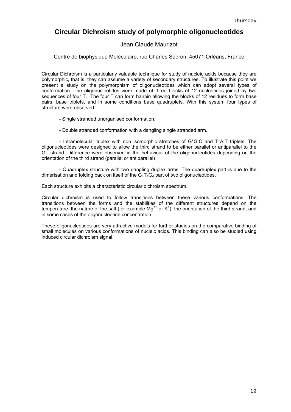# **Circular Dichroism study of polymorphic oligonucleotides**

### Jean Claude Maurizot

Centre de biophysique Moléculaire, rue Charles Sadron, 45071 Orléans, France

Circular Dichroism is a particularly valuable technique for study of nucleic acids because they are polymorphic, that is, they can assume a variety of secondary structures. To illustrate this point we present a study on the polymorphism of oligonucleotides which can adopt several types of conformation. The oligonucleotides were made of three blocks of 12 nucleotides joined by two sequences of four T. The four T can form hairpin allowing the blocks of 12 residues to form base pairs, base triplets, and in some conditions base quadruplets. With this system four types of structure were observed:

- Single stranded unorganised conformation.
- Double stranded conformation with a dangling single stranded arm.

 - Intramolecular triplex with non isomorphic stretches of G\*G:C and T\*A:T triplets. The oligonucleotides were designed to allow the third strand to be either parallel or antiparallel to the GT strand. Difference were observed in the behaviour of the oligonucleotides depending on the orientation of the third strand (parallel or antiparallel)

 - Quadruplex structure with two dangling duplex arms. The quadruplex part is due to the dimerisation and folding back on itself of the  $G_4T_4G_4$  part of two oligonucleotides.

Each structure exhibits a characteristic circular dichroism spectrum.

Circular dichroism is used to follow transitions between these various conformations. The transitions between the forms and the stabilities of the different structures depend on the temperature the pature of the self (for example  $M_{\text{eff}}^{++}$  or  $K_{\text{eff}}^{++}$ ) the exignisting of the third strend and temperature, the nature of the salt (for example Mg<sup>++</sup> or K<sup>+</sup>), the orientation of the third strand, and in some cases of the oligonucleotide concentration.

These oligonucleotides are very attractive models for further studies on the comparative binding of small molecules on various conformations of nucleic acids. This binding can also be studied using induced circular dichroism signal.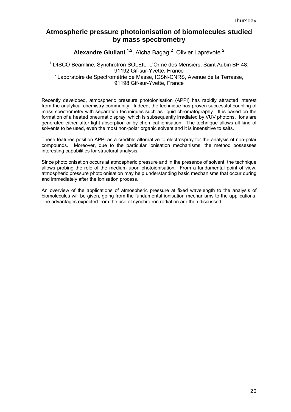# **Atmospheric pressure photoionisation of biomolecules studied by mass spectrometry**

Alexandre Giuliani <sup>1,2</sup>, Aïcha Bagag <sup>2</sup>, Olivier Laprévote <sup>2</sup>

### <sup>1</sup> DISCO Beamline, Synchrotron SOLEIL, L'Orme des Merisiers, Saint Aubin BP 48, 91192 Gif-sur-Yvette, France <sup>2</sup> Laboratoire de Spectrométrie de Masse, ICSN-CNRS, Avenue de la Terrasse, 91198 Gif-sur-Yvette, France

Recently developed, atmospheric pressure photoionisation (APPI) has rapidly attracted interest from the analytical chemistry community. Indeed, the technique has proven successful coupling of mass spectrometry with separation techniques such as liquid chromatography. It is based on the formation of a heated pneumatic spray, which is subsequently irradiated by VUV photons. Ions are generated either after light absorption or by chemical ionisation. The technique allows all kind of solvents to be used, even the most non-polar organic solvent and it is insensitive to salts.

These features position APPI as a credible alternative to electrospray for the analysis of non-polar compounds. Moreover, due to the particular ionisation mechanisms, the method possesses interesting capabilities for structural analysis.

Since photoionisation occurs at atmospheric pressure and in the presence of solvent, the technique allows probing the role of the medium upon photoionisation. From a fundamental point of view, atmospheric pressure photoionisation may help understanding basic mechanisms that occur during and immediately after the ionisation process.

An overview of the applications of atmospheric pressure at fixed wavelength to the analysis of biomolecules will be given, going from the fundamental ionisation mechanisms to the applications. The advantages expected from the use of synchrotron radiation are then discussed.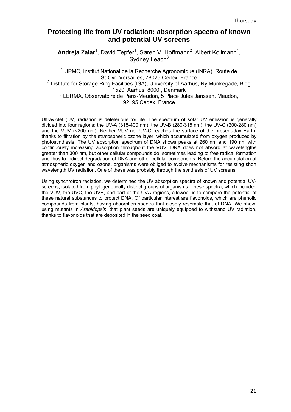# **Protecting life from UV radiation: absorption spectra of known and potential UV screens**

Andreja Zalar<sup>1</sup>, David Tepfer<sup>1</sup>, Søren V. Hoffmann<sup>2</sup>, Albert Kollmann<sup>1</sup>, Sydney Leach $3$ 

<sup>1</sup> UPMC, Institut National de la Recherche Agronomique (INRA), Route de St-Cyr, Versailles, 78026 Cedex, France <sup>2</sup> Institute for Storage Ring Facilities (ISA), University of Aarhus, Ny Munkegade, Bldg 1520, Aarhus, 8000 , Denmark <sup>3</sup> LERMA, Observatoire de Paris-Meudon, 5 Place Jules Janssen, Meudon, 92195 Cedex, France

Ultraviolet (UV) radiation is deleterious for life. The spectrum of solar UV emission is generally divided into four regions: the UV-A (315-400 nm), the UV-B (280-315 nm), the UV-C (200-280 nm) and the VUV (<200 nm). Neither VUV nor UV-C reaches the surface of the present-day Earth, thanks to filtration by the stratospheric ozone layer, which accumulated from oxygen produced by photosynthesis. The UV absorption spectrum of DNA shows peaks at 260 nm and 190 nm with continuously increasing absorption throughout the VUV. DNA does not absorb at wavelengths greater than 300 nm, but other cellular compounds do, sometimes leading to free radical formation and thus to indirect degradation of DNA and other cellular components. Before the accumulation of atmospheric oxygen and ozone, organisms were obliged to evolve mechanisms for resisting short wavelength UV radiation. One of these was probably through the synthesis of UV screens.

Using synchrotron radiation, we determined the UV absorption spectra of known and potential UVscreens, isolated from phylogenetically distinct groups of organisms. These spectra, which included the VUV, the UVC, the UVB, and part of the UVA regions, allowed us to compare the potential of these natural substances to protect DNA. Of particular interest are flavonoids, which are phenolic compounds from plants, having absorption spectra that closely resemble that of DNA. We show, using mutants in *Arabidopsis*, that plant seeds are uniquely equipped to withstand UV radiation, thanks to flavonoids that are deposited in the seed coat.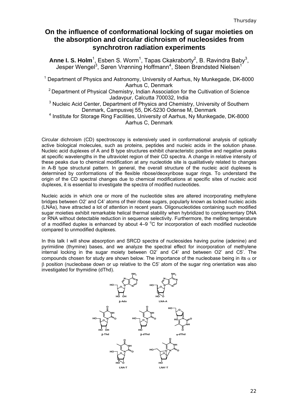# **On the influence of conformational locking of sugar moieties on the absorption and circular dichroism of nucleosides from synchrotron radiation experiments**

Anne I. S. Holm<sup>1</sup>, Esben S. Worm<sup>1</sup>, Tapas Ckakraborty<sup>2</sup>, B. Ravindra Baby<sup>3</sup>, Jesper Wengel<sup>3</sup>, Søren Vrønning Hoffmann<sup>4</sup>, Steen Brøndsted Nielsen<sup>1</sup>

<sup>1</sup> Department of Physics and Astronomy, University of Aarhus, Ny Munkegade, DK-8000 Aarhus C, Denmark

<sup>2</sup> Department of Physical Chemistry, Indian Association for the Cultivation of Science Jadavpur, Calcutta 700032, India

<sup>3</sup> Nucleic Acid Center, Department of Physics and Chemistry, University of Southern Denmark, Campusvej 55, DK-5230 Odense M, Denmark

<sup>4</sup> Institute for Storage Ring Facilities, University of Aarhus, Ny Munkegade, DK-8000 Aarhus C, Denmark

Circular dichroism (CD) spectroscopy is extensively used in conformational analysis of optically active biological molecules, such as proteins, peptides and nucleic acids in the solution phase. Nucleic acid duplexes of A and B type structures exhibit characteristic positive and negative peaks at specific wavelengths in the ultraviolet region of their CD spectra. A change in relative intensity of these peaks due to chemical modification at any nucleotide site is qualitatively related to changes in A-B type structural pattern. In general, the overall structure of the nucleic acid duplexes is determined by conformations of the flexible ribose/deoxyribose sugar rings. To understand the origin of the CD spectral changes due to chemical modifications at specific sites of nucleic acid duplexes, it is essential to investigate the spectra of modified nucleotides.

Nucleic acids in which one or more of the nucleotide sites are altered incorporating methylene bridges between O2' and C4' atoms of their ribose sugars, popularly known as locked nucleic acids (LNAs), have attracted a lot of attention in recent years. Oligonucleotides containing such modified sugar moieties exhibit remarkable helical thermal stability when hybridized to complementary DNA or RNA without detectable reduction in sequence selectivity. Furthermore, the melting temperature of a modified duplex is enhanced by about  $4-9$  °C for incorporation of each modified nucleotide compared to unmodified duplexes.

In this talk I will show absorption and SRCD spectra of nucleosides having purine (adenine) and pyrimidine (thymine) bases, and we analyze the spectral effect for incorporation of methylene internal locking in the sugar moiety between O2' and C4' and between O2' and C5'. The compounds chosen for study are shown below. The importance of the nucleobase being in its  $\alpha$  or β position (nucleobase down or up relative to the C5' atom of the sugar ring orientation was also investigated for thymidine (dThd).

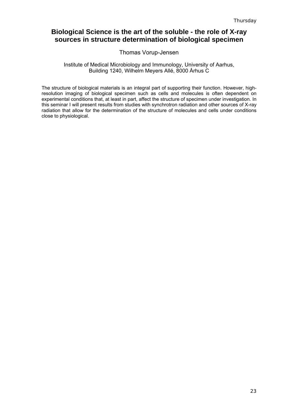# **Biological Science is the art of the soluble - the role of X-ray sources in structure determination of biological specimen**

### Thomas Vorup-Jensen

### Institute of Medical Microbiology and Immunology, University of Aarhus, Building 1240, Wilhelm Meyers Allé, 8000 Århus C

The structure of biological materials is an integral part of supporting their function. However, highresolution imaging of biological specimen such as cells and molecules is often dependent on experimental conditions that, at least in part, affect the structure of specimen under investigation. In this seminar I will present results from studies with synchrotron radiation and other sources of X-ray radiation that allow for the determination of the structure of molecules and cells under conditions close to physiological.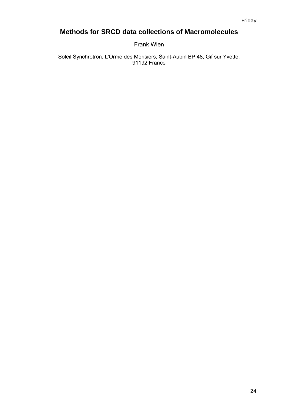# **Methods for SRCD data collections of Macromolecules**

Frank Wien

Soleil Synchrotron, L'Orme des Merisiers, Saint-Aubin BP 48, Gif sur Yvette, 91192 France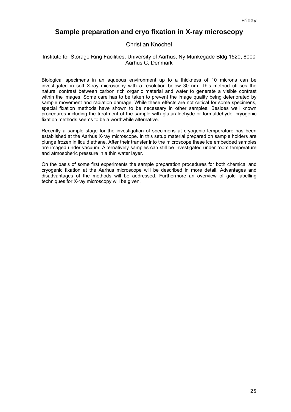## **Sample preparation and cryo fixation in X-ray microscopy**

### Christian Knöchel

### Institute for Storage Ring Facilities, University of Aarhus, Ny Munkegade Bldg 1520, 8000 Aarhus C, Denmark

Biological specimens in an aqueous environment up to a thickness of 10 microns can be investigated in soft X-ray microscopy with a resolution below 30 nm. This method utilises the natural contrast between carbon rich organic material and water to generate a visible contrast within the images. Some care has to be taken to prevent the image quality being deteriorated by sample movement and radiation damage. While these effects are not critical for some specimens, special fixation methods have shown to be necessary in other samples. Besides well known procedures including the treatment of the sample with glutaraldehyde or formaldehyde, cryogenic fixation methods seems to be a worthwhile alternative.

Recently a sample stage for the investigation of specimens at cryogenic temperature has been established at the Aarhus X-ray microscope. In this setup material prepared on sample holders are plunge frozen in liquid ethane. After their transfer into the microscope these ice embedded samples are imaged under vacuum. Alternatively samples can still be investigated under room temperature and atmospheric pressure in a thin water layer.

On the basis of some first experiments the sample preparation procedures for both chemical and cryogenic fixation at the Aarhus microscope will be described in more detail. Advantages and disadvantages of the methods will be addressed. Furthermore an overview of gold labelling techniques for X-ray microscopy will be given.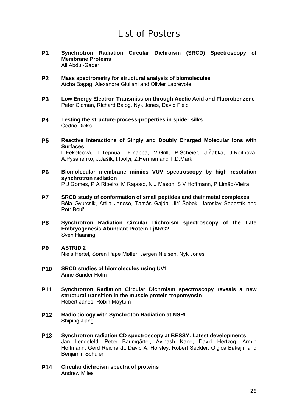# List of Posters

- **P1 Synchrotron Radiation Circular Dichroism (SRCD) Spectroscopy of Membrane Proteins**  Ali Abdul-Gader
- **P2 Mass spectrometry for structural analysis of biomolecules**  Aïcha Bagag, Alexandre Giuliani and Olivier Laprévote
- **P3 Low Energy Electron Transmission through Acetic Acid and Fluorobenzene**  Peter Cicman, Richard Balog, Nyk Jones, David Field
- **P4 Testing the structure-process-properties in spider silks**  Cedric Dicko
- **P5 Reactive Interactions of Singly and Doubly Charged Molecular Ions with Surfaces**  L.Feketeová, T.Tepnual, F.Zappa, V.Grill, P.Scheier, J.Žabka, J.Roithová, A.Pysanenko, J.Jašík, I.Ipolyi, Z.Herman and T.D.Märk
- **P6 Biomolecular membrane mimics VUV spectroscopy by high resolution synchrotron radiation** P J Gomes, P A Ribeiro, M Raposo, N J Mason, S V Hoffmann, P Limão-Vieira
- **P7 SRCD study of conformation of small peptides and their metal complexes**  Béla Gyurcsik, Attila Jancsó, Tamás Gajda, Jiří Šebek, Jaroslav Šebestík and Petr Bouř
- **P8 Synchrotron Radiation Circular Dichroism spectroscopy of the Late Embryogenesis Abundant Protein LjARG2**  Sven Haaning
- **P9 ASTRID 2** Niels Hertel, Søren Pape Møller, Jørgen Nielsen, Nyk Jones
- **P10 SRCD studies of biomolecules using UV1** Anne Sander Holm
- **P11 Synchrotron Radiation Circular Dichroism spectroscopy reveals a new structural transition in the muscle protein tropomyosin** Robert Janes, Robin Maytum
- **P12 Radiobiology with Synchroton Radiation at NSRL** Shiping Jiang
- **P13 Synchrotron radiation CD spectroscopy at BESSY: Latest developments** Jan Lengefeld, Peter Baumgärtel, Avinash Kane, David Hertzog, Armin Hoffmann, Gerd Reichardt, David A. Horsley, Robert Seckler, Olgica Bakajin and Benjamin Schuler
- **P14 Circular dichroism spectra of proteins** Andrew Miles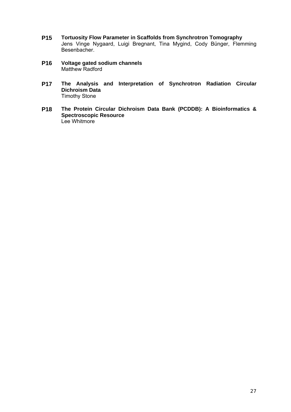- **P15 Tortuosity Flow Parameter in Scaffolds from Synchrotron Tomography**  Jens Vinge Nygaard, Luigi Bregnant, Tina Mygind, Cody Bünger, Flemming Besenbacher.
- **P16 Voltage gated sodium channels** Matthew Radford
- **P17 The Analysis and Interpretation of Synchrotron Radiation Circular Dichroism Data** Timothy Stone
- **P18 The Protein Circular Dichroism Data Bank (PCDDB): A Bioinformatics & Spectroscopic Resource** Lee Whitmore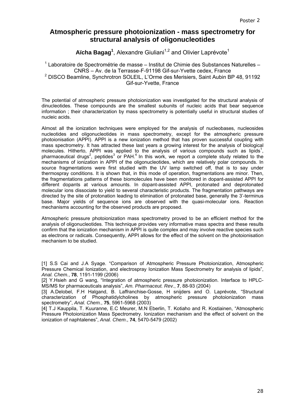# **Atmospheric pressure photoionization - mass spectrometry for structural analysis of oligonucleotides**

Aïcha Bagag<sup>1</sup>, Alexandre Giuliani<sup>1,2</sup> and Olivier Laprévote<sup>1</sup>

 $1$  Laboratoire de Spectrométrie de masse – Institut de Chimie des Substances Naturelles – CNRS – Av. de la Terrasse-F-91198 Gif-sur-Yvette cedex, France <sup>2</sup> DISCO Beamline, Synchrotron SOLEIL, L'Orme des Merisiers, Saint Aubin BP 48, 91192 Gif-sur-Yvette, France

The potential of atmospheric pressure photoionization was investigated for the structural analysis of dinucleotides. These compounds are the smallest subunits of nucleic acids that bear sequence information ; their characterization by mass spectrometry is potentially useful in structural studies of nucleic acids.

Almost all the ionization techniques were employed for the analysis of nucleobases, nucleosides nucleotides and oligonucleotides in mass spectrometry, except for the atmospheric pressure photoionisation (APPI). APPI is a new ionization method that has proven successful coupling with mass spectrometry. It has attracted these last years a growing interest for the analysis of biological molecules. Hitherto, APPI was applied to the analysis of various compounds such as lipids<sup>1</sup>, pharmaceutical drugs<sup>2</sup>, peptides<sup>3</sup> or PAH.<sup>4</sup> In this work, we report a complete study related to the mechanisms of ionization in APPI of the oligonucleotides, which are relatively polar compounds. In source fragmentations were first studied with the UV lamp switched off, that is to say under thermospray conditions. It is shown that, in this mode of operation, fragmentations are minor. Then, the fragmentations patterns of these biomolecules have been monitored in dopant-assisted APPI for different dopants at various amounts. In dopant-assisted APPI, protonated and deprotonated molecular ions dissociate to yield to several characteristic products. The fragmentation pathways are directed by the site of protonation leading to elimination of protonated base, generally the 3'-terminus base. Major yields of sequence ions are observed with the quasi-molecular ions. Reaction mechanisms accounting for the observed products are proposed.

Atmospheric pressure photoionization mass spectrometry proved to be an efficient method for the analysis of oligonucleotides. This technique provides very informative mass spectra and these results confirm that the ionization mechanism in APPI is quite complex and may involve reactive species such as electrons or radicals. Consequently, APPI allows for the effect of the solvent on the photoionisation mechanism to be studied.

[1] S.S Cai and J.A Syage. "Comparison of Atmospheric Pressure Photoionization, Atmospheric Pressure Chemical Ionization, and electrospray Ionization Mass Spectrometry for analysis of lipids", *Anal. Chem.*, **78**, 1191-1199 (2006)

[2] Y.Hsieh and G wang, "Integration of atmospheric pressure photoionization. Interface to HPLC-MS/MS for pharmaceuticals analysis", *Am. Pharmaceut. Rev.*, **7**, 88-93 (2004)

[3] A.Delobel, F.H Halgand, B. Laffranchise-Gosse, H snijders and O. Laprévote, "Structural characterization of Phosphatidylcholines by atmospheric pressure photoionization mass spectrometry", *Anal. Chem.*, **75**, 5961-5968 (2003)

[4] T.J Kauppila, T. Kuuranne, E.C Meurer, M.N Eberlin, T. Kotiaho and R. Kostiainen, "Atmospheric Pressure Photoionization Mass Spectrometry. Ionization mechanism and the effect of solvent on the ionization of naphtalenes", *Anal. Chem*., **74**, 5470-5479 (2002)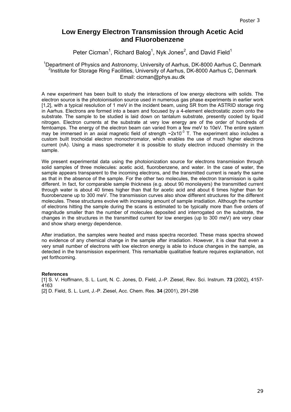# **Low Energy Electron Transmission through Acetic Acid and Fluorobenzene**

Peter Cicman<sup>1</sup>, Richard Balog<sup>1</sup>, Nyk Jones<sup>2</sup>, and David Field<sup>1</sup>

### <sup>1</sup>Department of Physics and Astronomy, University of Aarhus, DK-8000 Aarhus C, Denmark <sup>2</sup>Institute for Storage Ring Facilities, University of Aarhus, DK-8000 Aarhus C, Denmark Email: cicman@phys.au.dk

A new experiment has been built to study the interactions of low energy electrons with solids. The electron source is the photoionisation source used in numerous gas phase experiments in earlier work [1,2], with a typical resolution of 1 meV in the incident beam, using SR from the ASTRID storage ring in Aarhus. Electrons are formed into a beam and focused by a 4-element electrostatic zoom onto the substrate. The sample to be studied is laid down on tantalum substrate, presently cooled by liquid nitrogen. Electron currents at the substrate at very low energy are of the order of hundreds of femtoamps. The energy of the electron beam can varied from a few meV to 10eV. The entire system may be immersed in an axial magnetic field of strength  $\sim$ 2x10<sup>-3</sup> T. The experiment also includes a custom built trochoidal electron monochromator, which enables the use of much higher electrons current (nA). Using a mass spectrometer it is possible to study electron induced chemistry in the sample.

We present experimental data using the photoionization source for electrons transmission through solid samples of three molecules: acetic acid, fluorobenzene, and water. In the case of water, the sample appears transparent to the incoming electrons, and the transmitted current is nearly the same as that in the absence of the sample. For the other two molecules, the electron transmission is quite different. In fact, for comparable sample thickness (e.g. about 90 monolayers) the transmitted current through water is about 40 times higher than that for acetic acid and about 6 times higher than for fluorobenzene up to 300 meV. The transmission curves also show different structures for the different molecules. These structures evolve with increasing amount of sample irradiation. Although the number of electrons hitting the sample during the scans is estimated to be typically more than five orders of magnitude smaller than the number of molecules deposited and interrogated on the substrate, the changes in the structures in the transmitted current for low energies (up to 300 meV) are very clear and show sharp energy dependence.

After irradiation, the samples were heated and mass spectra recorded. These mass spectra showed no evidence of any chemical change in the sample after irradiation. However, it is clear that even a very small number of electrons with low electron energy is able to induce changes in the sample, as detected in the transmission experiment. This remarkable qualitative feature requires explanation, not yet forthcoming.

### **References**

[1] S. V. Hoffmann, S. L. Lunt, N. C. Jones, D. Field, J.-P. Ziesel, Rev. Sci. Instrum. **73** (2002), 4157- 4163

[2] D. Field, S. L. Lunt, J.-P. Ziesel, Acc. Chem. Res. **34** (2001), 291-298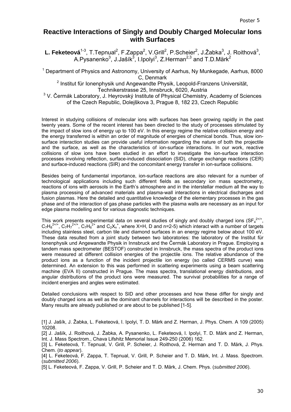# **Reactive Interactions of Singly and Doubly Charged Molecular Ions with Surfaces**

L. Feketeová<sup>1-3</sup>, T.Tepnual<sup>2</sup>, F.Zappa<sup>2</sup>, V.Grill<sup>2</sup>, P.Scheier<sup>2</sup>, J.Žabka<sup>3</sup>, J. Roithová<sup>3</sup>, A.Pysanenko $^3$ , J.Jašík $^3$ , I.Ipolyi $^3$ , Z.Herman $^{2,3}$  and T.D.Märk $^2$ 

<sup>1</sup> Department of Physics and Astronomy, University of Aarhus, Ny Munkegade, Aarhus, 8000 C, Denmark

<sup>2</sup> Institut für Ionenphysik und Angewandte Physik, Leopold-Franzens Universität,

Technikerstrasse 25, Innsbruck, 6020, Austria

<sup>3</sup> V. Čermák Laboratory, J. Heyrovský Institute of Physical Chemistry, Academy of Sciences of the Czech Republic, Dolejškova 3, Prague 8, 182 23, Czech Republic

Interest in studying collisions of molecular ions with surfaces has been growing rapidly in the past twenty years. Some of the recent interest has been directed to the study of processes stimulated by the impact of slow ions of energy up to 100 eV. In this energy regime the relative collision energy and the energy transferred is within an order of magnitude of energies of chemical bonds. Thus, slow ionsurface interaction studies can provide useful information regarding the nature of both the projectile and the surface, as well as the characteristics of ion-surface interactions. In our work, reactive collisions of slow ions have been studied in an effort to investigate the ion-surface interaction processes involving reflection, surface-induced dissociation (SID), charge exchange reactions (CER) and surface-induced reactions (SIR) and the concomitant energy transfer in ion-surface collisions.

Besides being of fundamental importance, ion-surface reactions are also relevant for a number of technological applications including such different fields as secondary ion mass spectrometry, reactions of ions with aerosols in the Earth's atmosphere and in the interstellar medium all the way to plasma processing of advanced materials and plasma-wall interactions in electrical discharges and fusion plasmas. Here the detailed and quantitative knowledge of the elementary processes in the gas phase and of the interaction of gas phase particles with the plasma walls are necessary as an input for edge plasma modelling and for various diagnostic techniques.

This work presents experimental data on several studies of singly and doubly charged ions (SF $_4^{2+/+}$ ,  $C_7H_8^{2+/+}$ ,  $C_7H_7^{2+/+}$ ,  $C_7H_6^{2+}$  and  $C_2X_n^+$ , where X=H, D and n=2-5) which interact with a number of targets including stainless steel, carbon tile and diamond surfaces in an energy regime below about 100 eV. These data resulted from a joint study between two laboratories: the laboratory of the Institut für Ionenphysik und Angewandte Physik in Innsbruck and the Čermák Laboratory in Prague. Employing a tandem mass spectrometer (BESTOF) constructed in Innsbruck, the mass spectra of the product ions were measured at different collision energies of the projectile ions. The relative abundance of the product ions as a function of the incident projectile ion energy (so called CERMS curve) was determined. An extension to this was performed in scattering experiments using a beam scattering machine (EVA II) constructed in Prague. The mass spectra, translational energy distributions, and angular distributions of the product ions were measured. The survival probabilities for a range of incident energies and angles were estimated.

Detailed conclusions with respect to SID and other processes and how these differ for singly and doubly charged ions as well as the dominant channels for interactions will be described in the poster. Many results are already published or are about to be published [1-5].

[1] J. Jašík, J. Žabka, L. Feketeová, I. Ipolyi, T. D. Märk and Z. Herman, J. Phys. Chem. A 109 (2005) 10208.

[2] J. Jašík, J. Roithová, J. Žabka, A. Pysanenko, L. Feketeová, I. Ipolyi, T. D. Märk and Z. Herman, Int. J. Mass Spectrom., Chava Lifshitz Memorial Issue 249-250 (2006) 162.

[3] L. Feketeová, T. Tepnual, V. Grill, P. Scheier, J. Roithová, Z. Herman and T. D. Märk, J. Phys. Chem. (*to appear*).

[4] L. Feketeová, F. Zappa, T. Tepnual, V. Grill, P. Scheier and T. D. Märk, Int. J. Mass. Spectrom. (*submitted 2006*).

[5] L. Feketeová, F. Zappa, V. Grill, P. Scheier and T. D. Märk, J. Chem. Phys. (*submitted 2006*).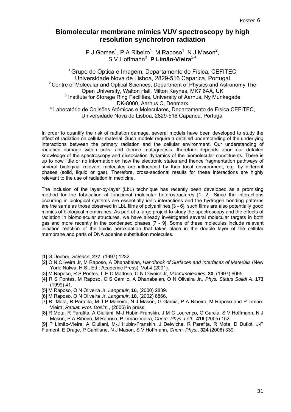# **Biomolecular membrane mimics VUV spectroscopy by high resolution synchrotron radiation**

P J Gomes<sup>1</sup>, P A Ribeiro<sup>1</sup>, M Raposo<sup>1</sup>, N J Mason<sup>2</sup>, S V Hoffmann<sup>3</sup>, **P Limão-Vieira**<sup>2,4</sup>

1 Grupo de Óptica e Imagem, Departamento de Física, CEFITEC Universidade Nova de Lisboa, 2829-516 Caparica, Portugal <sup>2</sup> Centre of Molecular and Optical Sciences, Department of Physics and Astronomy The Open University, Walton Hall, Milton Keynes, MK7 6AA, UK <sup>3</sup> Institute for Storage Ring Facilities, University of Aarhus, Ny Munkegade DK-8000, Aarhus C, Denmark 4 Laboratório de Colisões Atómicas e Moleculares, Departamento de Física CEFITEC, Universidade Nova de Lisboa, 2829-516 Caparica, Portugal

In order to quantify the risk of radiation damage, several models have been developed to study the effect of radiation on cellular material. Such models require a detailed understanding of the underlying interactions between the primary radiation and the cellular environment. Our understanding of radiation damage within cells, and thence mutagenesis, therefore depends upon our detailed knowledge of the spectroscopy and dissociation dynamics of the biomolecular constituents. There is up to now little or no information on how the electronic states and thence fragmentation pathways of several biological relevant molecules are influenced by their local environment, e.g. by different phases (solid, liquid or gas). Therefore, cross-sectional results for these interactions are highly relevant to the use of radiation in medicine.

The inclusion of the layer-by-layer (LbL) technique has recently been developed as a promising method for the fabrication of functional molecular heterostructures [1, 2]. Since the interactions occurring in biological systems are essentially ionic interactions and the hydrogen bonding patterns are the same as those observed in LbL films of polyanilines [3 - 6], such films are also potentially good mimics of biological membranes. As part of a large project to study the spectroscopy and the effects of radiation in biomolecular structures, we have already investigated several molecular targets in both gas and more recently in the condensed phases [7 - 9]. Some of these molecules include relevant initiation reaction of the lipidic peroxidation that takes place in the double layer of the cellular membrane and parts of DNA adenine substitution molecules.

- [1] G Decher, *Science*, **277**, (1997) 1232.
- [2] O N Oliveira Jr, M Raposo, A Dhanabalan, *Handbook of Surfaces and Interfaces of Materials* (New York: Nalwa, H.S., Ed.; Academic Press), Vol.4 (2001).
- [3] M Raposo, R S Pontes, L H C Mattoso, O N Oliveira Jr, *Macromolecules*, **30**, (1997) 6095.
- [4] R S Pontes, M Raposo, C S Camilo, A Dhanabalan, O N Oliveira Jr., *Phys. Status Solidi A*, **173** (1999) 41.
- [5] M Raposo, O N Oliveira Jr, *Langmuir*, **16**, (2000) 2839.
- [6] M Raposo, O N Oliveira Jr, *Langmuir*, **18**, (2002) 6866.
- [7] R Mota, R Parafita, M J P Maneira, N J Mason, G Garcia, P A Ribeiro, M Raposo and P Limão-Vieira, *Radiat. Prot. Dosim.*, (2006) in press.
- [8] R Mota, R Parafita, A Giuliani, M-J Hubin-Franskin, J M C Lourenço, G Garcia, S V Hoffmann, N J Mason, P A Ribeiro, M Raposo, P Limão-Vieira, *Chem. Phys. Lett.*, **416** (2005) 152.
- [9] P Limão-Vieira, A Giuliani, M-J Hubin-Franskin, J Delwiche, R Parafita, R Mota, D Duflot, J-P Flament, E Drage, P Cahillane, N J Mason, S V Hoffmann**,** *Chem. Phys.*, **324** (2006) 339.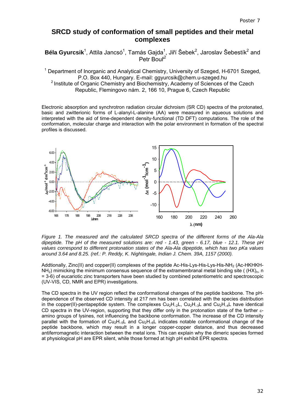## **SRCD study of conformation of small peptides and their metal complexes**

Béla Gyurcsik<sup>1</sup>, Attila Jancsó<sup>1</sup>, Tamás Gajda<sup>1</sup>, Jiří Šebek<sup>2</sup>, Jaroslav Šebestík<sup>2</sup> and Petr Bouř<sup>2</sup>

<sup>1</sup> Department of Inorganic and Analytical Chemistry, University of Szeged, H-6701 Szeged, P.O. Box 440, Hungary. E-mail: ggyurcsik@chem.u-szeged.hu <sup>2</sup> Institute of Organic Chemistry and Biochemistry, Academy of Sciences of the Czech Republic, Flemingovo nám. 2, 166 10, Prague 6, Czech Republic

Electronic absorption and synchrotron radiation circular dichroism (SR CD) spectra of the protonated, basic and zwitterionic forms of L-alanyl-L-alanine (AA) were measured in aqueous solutions and interpreted with the aid of time-dependent density-functional (TD DFT) computations. The role of the conformation, molecular charge and interaction with the polar environment in formation of the spectral profiles is discussed.



*Figure 1. The measured and the calculated SRCD spectra of the different forms of the Ala-Ala dipeptide. The pH of the measured solutions are: red - 1.43, green - 6.17, blue - 12.1. These pH values correspond to different protonation states of the Ala-Ala dipeptide, which has two pKa values around 3.64 and 8.25. (ref.: P. Reddy, K. Nightingale, Indian J. Chem. 39A, 1157 (2000).* 

Addtionally, Zinc(II) and copper(II) complexes of the peptide Ac-His-Lys-His-Lys-His-NH<sub>2</sub> (Ac-HKHKH- $NH<sub>2</sub>$ ) mimicking the minimum consensus sequence of the extramembranal metal binding site ( $(HX)_{n}$ , n = 3-6) of eucariotic zinc transporters have been studied by combined potentiometric and spectroscopic (UV-VIS, CD, NMR and EPR) investigations.

The CD spectra in the UV region reflect the conformational changes of the peptide backbone. The pHdependence of the observed CD intensity at 217 nm has been correlated with the species distribution in the copper(II)-pentapeptide system. The complexes  $Cu<sub>2</sub>H<sub>-2</sub>L$ ,  $Cu<sub>2</sub>H<sub>-3</sub>L$  and  $Cu<sub>2</sub>H<sub>-4</sub>L$  have identical CD spectra in the UV-region, supporting that they differ only in the protonation state of the farther  $\varepsilon$ amino groups of lysines, not influencing the backbone conformation. The increase of the CD intensity parallel with the formation of  $Cu_2H_{-5}L$  and  $Cu_2H_{-6}L$  indicates notable conformational change of the peptide backbone, which may result in a longer copper-copper distance, and thus decreased antiferromagnetic interaction between the metal ions. This can explain why the dimeric species formed at physiological pH are EPR silent, while those formed at high pH exhibit EPR spectra.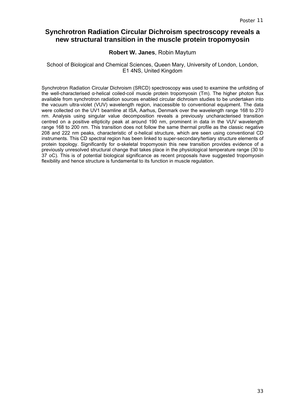# **Synchrotron Radiation Circular Dichroism spectroscopy reveals a new structural transition in the muscle protein tropomyosin**

### **Robert W. Janes**, Robin Maytum

### School of Biological and Chemical Sciences, Queen Mary, University of London, London, E1 4NS, United Kingdom

Synchrotron Radiation Circular Dichroism (SRCD) spectroscopy was used to examine the unfolding of the well-characterised α-helical coiled-coil muscle protein tropomyosin (Tm). The higher photon flux available from synchrotron radiation sources enabled circular dichroism studies to be undertaken into the vacuum ultra-violet (VUV) wavelength region, inaccessible to conventional equipment. The data were collected on the UV1 beamline at ISA, Aarhus, Denmark over the wavelength range 168 to 270 nm. Analysis using singular value decomposition reveals a previously uncharacterised transition centred on a positive ellipticity peak at around 190 nm, prominent in data in the VUV wavelength range 168 to 200 nm. This transition does not follow the same thermal profile as the classic negative 208 and 222 nm peaks, characteristic of α-helical structure, which are seen using conventional CD instruments. This CD spectral region has been linked to super-secondary/tertiary structure elements of protein topology. Significantly for α-skeletal tropomyosin this new transition provides evidence of a previously unresolved structural change that takes place in the physiological temperature range (30 to 37 oC). This is of potential biological significance as recent proposals have suggested tropomyosin flexibility and hence structure is fundamental to its function in muscle regulation.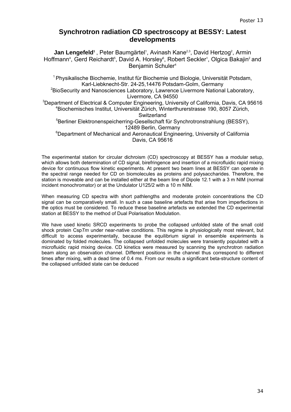# **Synchrotron radiation CD spectroscopy at BESSY: Latest developments**

**Jan Lengefeld**<sup>1</sup>, Peter Baumgärtel<sup>1</sup>, Avinash Kane<sup>2,3</sup>, David Hertzog<sup>2</sup>, Armin Hoffmann<sup>4</sup>, Gerd Reichardt<sup>5</sup>, David A. Horsley<sup>6</sup>, Robert Seckler<sup>1</sup>, Olgica Bakajin<sup>2</sup> and Benjamin Schuler<sup>4</sup>

1 Physikalische Biochemie, Institut für Biochemie und Biologie, Universität Potsdam, Karl-Liebknecht-Str. 24-25,14476 Potsdam-Golm, Germany

<sup>2</sup>BioSecurity and Nanosciences Laboratory, Lawrence Livermore National Laboratory, Livermore, CA 94550

<sup>3</sup>Department of Electrical & Computer Engineering, University of California, Davis, CA 95616 4 Biochemisches Institut, Universität Zürich, Winterthurerstrasse 190, 8057 Zürich, **Switzerland** 

5 Berliner Elektronenspeicherring-Gesellschaft für Synchrotronstrahlung (BESSY), 12489 Berlin, Germany

<sup>6</sup>Department of Mechanical and Aeronautical Engineering, University of California Davis, CA 95616

The experimental station for circular dichroism (CD) spectroscopy at BESSY has a modular setup, which allows both determination of CD signal, birefringence and insertion of a microfluidic rapid mixing device for continuous flow kinetic experiments. At present two beam lines at BESSY can operate in the spectral range needed for CD on biomolecules as proteins and polysaccharides. Therefore, the station is moveable and can be installed either at the beam line of Dipole 12.1 with a 3 m NIM (normal incident monochromator) or at the Undulator U125/2 with a 10 m NIM.

When measuring CD spectra with short pathlengths and moderate protein concentrations the CD signal can be comparatively small. In such a case baseline artefacts that arise from imperfections in the optics must be considered. To reduce these baseline artefacts we extended the CD experimental station at BESSY to the method of Dual Polarisation Modulation.

We have used kinetic SRCD experiments to probe the collapsed unfolded state of the small cold shock protein Csp*Tm* under near-native conditions. This regime is physiologically most relevant, but difficult to access experimentally, because the equilibrium signal in ensemble experiments is dominated by folded molecules. The collapsed unfolded molecules were transiently populated with a microfluidic rapid mixing device. CD kinetics were measured by scanning the synchrotron radiation beam along an observation channel. Different positions in the channel thus correspond to different times after mixing, with a dead time of 0.4 ms. From our results a significant beta-structure content of the collapsed unfolded state can be deduced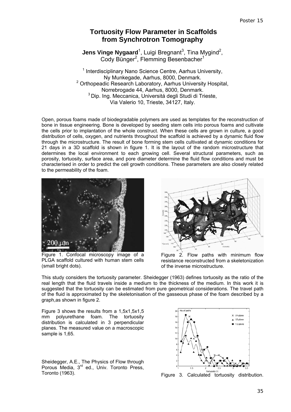# **Tortuosity Flow Parameter in Scaffolds from Synchrotron Tomography**

**Jens Vinge Nygaard**<sup>1</sup>, Luigi Bregnant<sup>3</sup>, Tina Mygind<sup>2</sup>, Cody Bünger<sup>2</sup>, Flemming Besenbacher<sup>1</sup>

<sup>1</sup> Interdisciplinary Nano Science Centre, Aarhus University, Ny Munkegade, Aarhus, 8000, Denmark. <sup>2</sup> Orthopeadic Research Laboratory, Aarhus University Hospital, Norrebrogade 44, Aarhus, 8000, Denmark. <sup>3</sup> Dip. Ing. Meccanica, Universitá degli Studi di Trieste, Via Valerio 10, Trieste, 34127, Italy.

Open, porous foams made of biodegradable polymers are used as templates for the reconstruction of bone in tissue engineering. Bone is developed by seeding stem cells into porous foams and cultivate the cells prior to implantation of the whole construct. When these cells are grown in culture, a good distribution of cells, oxygen, and nutrients throughout the scaffold is achieved by a dynamic fluid flow through the microstructure. The result of bone forming stem cells cultivated at dynamic conditions for 21 days in a 3D scaffold is shown in figure 1. It is the layout of the random microstructure that determines the local environment to each growing cell. Several structural parameters, such as porosity, tortuosity, surface area, and pore diameter determine the fluid flow conditions and must be characterised in order to predict the cell growth conditions. These parameters are also closely related to the permeability of the foam.



Figure 1. Confocal microscopy image of a PLGA scaffold cultured with human stem cells (small bright dots).



Figure 2. Flow paths with minimum flow resistance reconstructed from a skeletonization of the inverse microstructure.

This study considers the tortuosity parameter. Sheidegger (1963) defines tortuosity as the ratio of the real length that the fluid travels inside a medium to the thickness of the medium. In this work it is suggested that the tortuosity can be estimated from pure geometrical considerations. The travel path of the fluid is approximated by the skeletonisation of the gasseous phase of the foam described by a graph,as shown in figure 2.

Figure 3 shows the results from a 1,5x1,5x1,5 mm polyurethane foam. The tortuosity distribution is calculated in 3 perpendicular planes. The measured value on a macroscopic sample is 1,65.

Sheidegger, A.E., The Physics of Flow through Porous Media, 3<sup>rd</sup> ed., Univ. Toronto Press.



Toronto (1963). Figure 3. Calculated tortuosity distribution.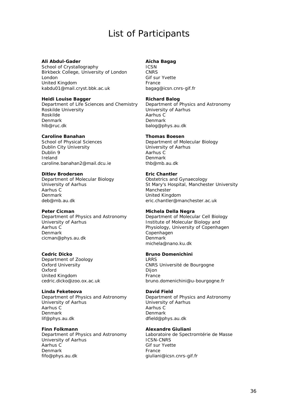# List of Participants

#### **Ali Abdul-Gader**

School of Crystallography Birkbeck College, University of London London United Kingdom kabdu01@mail.cryst.bbk.ac.uk

#### **Heidi Louise Bagger**

Department of Life Sciences and Chemistry Roskilde University Roskilde Denmark hlb@ruc.dk

#### **Caroline Banahan**

School of Physical Sciences Dublin City University Dublin 9 Ireland caroline.banahan2@mail.dcu.ie

#### **Ditlev Brodersen**

Department of Molecular Biology University of Aarhus Aarhus C Denmark deb@mb.au.dk

#### **Peter Cicman**

Department of Physics and Astronomy University of Aarhus Aarhus C Denmark cicman@phys.au.dk

#### **Cedric Dicko**

Department of Zoology Oxford University Oxford United Kingdom cedric.dicko@zoo.ox.ac.uk

#### **Linda Feketeova**

Department of Physics and Astronomy University of Aarhus Aarhus C Denmark lif@phys.au.dk

#### **Finn Folkmann**

Department of Physics and Astronomy University of Aarhus Aarhus C Denmark fifo@phys.au.dk

### **Aïcha Bagag**

ICSN CNRS Gif sur Yvette France bagag@icsn.cnrs-gif.fr

#### **Richard Balog**

Department of Physics and Astronomy University of Aarhus Aarhus C Denmark balog@phys.au.dk

#### **Thomas Boesen**

Department of Molecular Biology University of Aarhus Aarhus C Denmark thb@mb.au.dk

### **Eric Chantler**

Obstetrics and Gynaecology St Mary's Hospital, Manchester University **Manchester** United Kingdom eric.chantler@manchester.ac.uk

#### **Michela Della Negra**

Department of Molecular Cell Biology Institute of Molecular Biology and Physiology, University of Copenhagen Copenhagen Denmark michela@nano.ku.dk

#### **Bruno Domenichini**

LRRS CNRS Université de Bourgogne Dijon **France** bruno.domenichini@u-bourgogne.fr

#### **David Field**

Department of Physics and Astronomy University of Aarhus Aarhus C Denmark dfield@phys.au.dk

#### **Alexandre Giuliani**

Laboratoire de Spectromtérie de Masse ICSN-CNRS Gif sur Yvette France giuliani@icsn.cnrs-gif.fr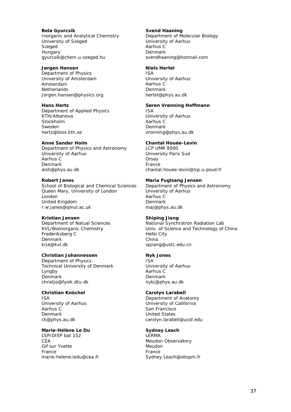**Bela Gyurcsik**  Inorganic and Analytical Chemistry University of Szeged Szeged Hungary gyurcsik@chem.u-szeged.hu

#### **Jørgen Hansen**

Department of Physics University of Amsterdam Amsterdam **Netherlands** Jorgen.hansen@physics.org

### **Hans Hertz**

Department of Applied Physics KTH/Albanova Stockholm Sweden hertz@biox.kth.se

#### **Anne Sander Holm**

Department of Physics and Astronomy University of Aarhus Aarhus C Denmark aish@phys.au.dk

#### **Robert Janes**

School of Biological and Chemical Sciences Queen Mary, University of London London United Kingdom r.w.janes@qmul.ac.uk

#### **Kristian Jensen**

Department of Natual Sciences KVL/Bioinorganic Chemistry Frederiksberg C Denmark krje@kvl.dk

#### **Christian Johannessen**

Department of Physics Technical University of Denmark Lyngby Denmark christjo@fysik.dtu.dk

### **Christian Knöchel**

ISA University of Aarhus Aarhus C Denmark ck@phys.au.dk

#### **Marie-Hélène Le Du**

LSP/DIEP bat 152 CEA Gif sur Yvette France marie-helene.ledu@cea.fr

#### **Svend Haaning**

Department of Molecular Biology University of Aarhus Aarhus C Denmark svendhaaning@hotmail.com

#### **Niels Hertel**

ISA University of Aarhus Aarhus C Denmark hertel@phys.au.dk

#### **Søren Vrønning Hoffmann**

ISA University of Aarhus Aarhus C Denmark vronning@phys.au.dk

#### **Chantal Houée-Levin**

LCP UMR 8000 University Paris Sud **Orsay** France chantal.houee-levin@lcp.u-psud.fr

#### **Maria Fuglsang Jensen**

Department of Physics and Astronomy University of Aarhus Aarhus C Denmark maj@phys.au.dk

#### **Shiping Jiang**

National Synchrotron Radiation Lab Univ. of Science and Technology of China Hefei City China spjiang@ustc.edu.cn

#### **Nyk Jones**

ISA University of Aarhus Aarhus C Denmark nykj@phys.au.dk

#### **Carolyn Larabell**

Department of Anatomy University of California San Francisco United States carolyn.larabell@ucsf.edu

#### **Sydney Leach**

LERMA Meudon Observatory Meudon France Sydney.Leach@obspm.fr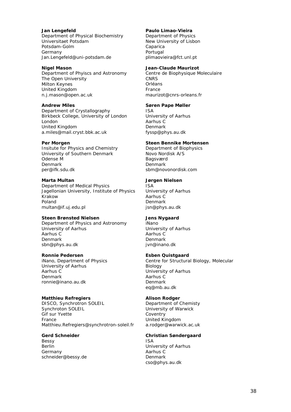**Jan Lengefeld**  Department of Physical Biochemistry Universitaet Potsdam Potsdam-Golm Germany Jan.Lengefeld@uni-potsdam.de

**Nigel Mason**  Department of Phyiscs and Astronomy The Open University Milton Keynes United Kingdom n.j.mason@open.ac.uk

**Andrew Miles**  Department of Crystallography Birkbeck College, University of London London United Kingdom a.miles@mail.cryst.bbk.ac.uk

#### **Per Morgen**

Insitute for Physics and Chemistry University of Southern Denmark Odense M Denmark per@ifk.sdu.dk

**Marta Multan** 

Department of Medical Physics Jagellonian University, Institute of Physics Krakow Poland multan@if.uj.edu.pl

#### **Steen Brønsted Nielsen**

Department of Physics and Astronomy University of Aarhus Aarhus C Denmark sbn@phys.au.dk

#### **Ronnie Pedersen**

iNano, Department of Physics University of Aarhus Aarhus C Denmark ronnie@inano.au.dk

### **Matthieu Refregiers**

DISCO, Synchrotron SOLEIL Synchroton SOLEIL Gif sur Yvette France Matthieu.Refregiers@synchrotron-soleil.fr

#### **Gerd Schneider**

Bessy Berlin Germany schneider@bessy.de

#### **Paulo Limao-Vieira**

Department of Physics New University of Lisbon Caparica Portugal plimaovieira@fct.unl.pt

#### **Jean-Claude Maurizot**

Centre de Biophysique Moleculaire **CNRS** Orléans France maurizot@cnrs-orleans.fr

#### **Søren Pape Møller**

ISA University of Aarhus Aarhus C Denmark fyssp@phys.au.dk

#### **Steen Bennike Mortensen**

Department of Biophysics Novo Nordisk A/S Bagsværd Denmark sbm@novonordisk.com

#### **Jørgen Nielsen**

ISA University of Aarhus Aarhus C Denmark jsn@phys.au.dk

#### **Jens Nygaard**

iNano University of Aarhus Aarhus C Denmark jvn@inano.dk

#### **Esben Quistgaard**

Centre for Structural Biology, Molecular Biology University of Aarhus Aarhus C Denmark eq@mb.au.dk

#### **Alison Rodger**

Department of Chemisty University of Warwick Coventry United Kingdom a.rodger@warwick.ac.uk

#### **Christian Søndergaard**  ISA

University of Aarhus Aarhus C Denmark cso@phys.au.dk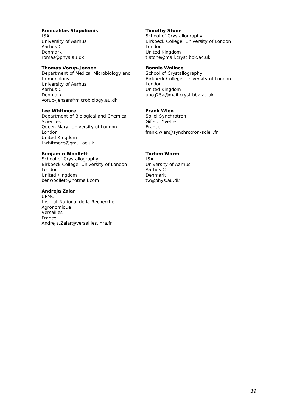#### **Romualdas Stapulionis**  ISA

University of Aarhus Aarhus C Denmark romas@phys.au.dk

#### **Thomas Vorup-Jensen**

Department of Medical Microbiology and Immunology University of Aarhus Aarhus C Denmark vorup-jensen@microbiology.au.dk

**Lee Whitmore** 

Department of Biological and Chemical Sciences Queen Mary, University of London London United Kingdom l.whitmore@qmul.ac.uk

#### **Benjamin Woollett**

School of Crystallography Birkbeck College, University of London London United Kingdom benwoollett@hotmail.com

#### **Andreja Zalar**

UPMC Institut National de la Recherche Agronomique Versailles France Andreja.Zalar@versailles.inra.fr

### **Timothy Stone**

School of Crystallography Birkbeck College, University of London London United Kingdom t.stone@mail.cryst.bbk.ac.uk

### **Bonnie Wallace**

School of Crystallography Birkbeck College, University of London London United Kingdom ubcg25a@mail.cryst.bbk.ac.uk

#### **Frank Wien**

Soliel Synchrotron Gif sur Yvette France frank.wien@synchrotron-soleil.fr

#### **Torben Worm**

ISA University of Aarhus Aarhus C Denmark tw@phys.au.dk